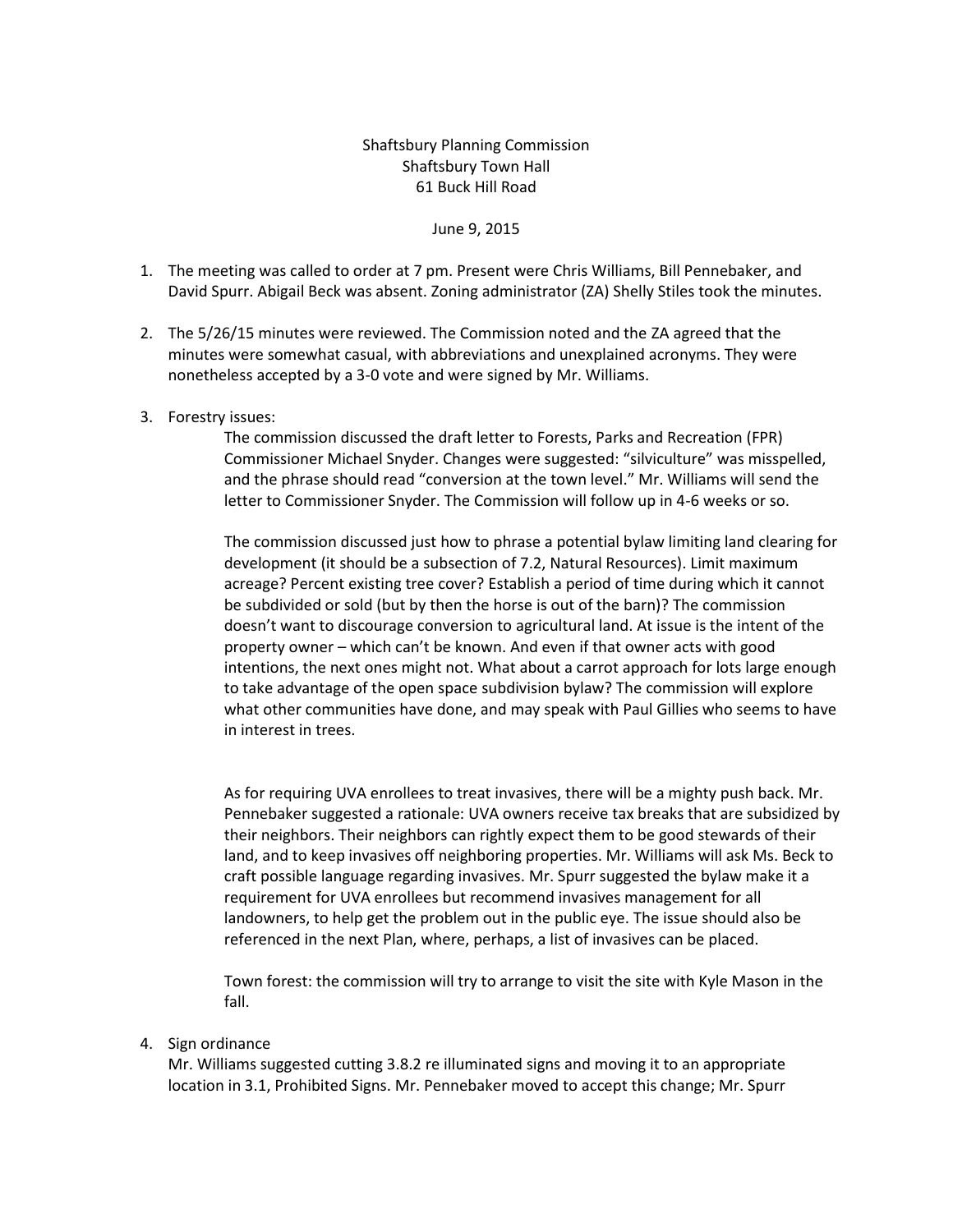## Shaftsbury Planning Commission Shaftsbury Town Hall 61 Buck Hill Road

## June 9, 2015

- 1. The meeting was called to order at 7 pm. Present were Chris Williams, Bill Pennebaker, and David Spurr. Abigail Beck was absent. Zoning administrator (ZA) Shelly Stiles took the minutes.
- 2. The 5/26/15 minutes were reviewed. The Commission noted and the ZA agreed that the minutes were somewhat casual, with abbreviations and unexplained acronyms. They were nonetheless accepted by a 3-0 vote and were signed by Mr. Williams.
- 3. Forestry issues:

The commission discussed the draft letter to Forests, Parks and Recreation (FPR) Commissioner Michael Snyder. Changes were suggested: "silviculture" was misspelled, and the phrase should read "conversion at the town level." Mr. Williams will send the letter to Commissioner Snyder. The Commission will follow up in 4-6 weeks or so.

The commission discussed just how to phrase a potential bylaw limiting land clearing for development (it should be a subsection of 7.2, Natural Resources). Limit maximum acreage? Percent existing tree cover? Establish a period of time during which it cannot be subdivided or sold (but by then the horse is out of the barn)? The commission doesn't want to discourage conversion to agricultural land. At issue is the intent of the property owner – which can't be known. And even if that owner acts with good intentions, the next ones might not. What about a carrot approach for lots large enough to take advantage of the open space subdivision bylaw? The commission will explore what other communities have done, and may speak with Paul Gillies who seems to have in interest in trees.

As for requiring UVA enrollees to treat invasives, there will be a mighty push back. Mr. Pennebaker suggested a rationale: UVA owners receive tax breaks that are subsidized by their neighbors. Their neighbors can rightly expect them to be good stewards of their land, and to keep invasives off neighboring properties. Mr. Williams will ask Ms. Beck to craft possible language regarding invasives. Mr. Spurr suggested the bylaw make it a requirement for UVA enrollees but recommend invasives management for all landowners, to help get the problem out in the public eye. The issue should also be referenced in the next Plan, where, perhaps, a list of invasives can be placed.

Town forest: the commission will try to arrange to visit the site with Kyle Mason in the fall.

## 4. Sign ordinance

Mr. Williams suggested cutting 3.8.2 re illuminated signs and moving it to an appropriate location in 3.1, Prohibited Signs. Mr. Pennebaker moved to accept this change; Mr. Spurr